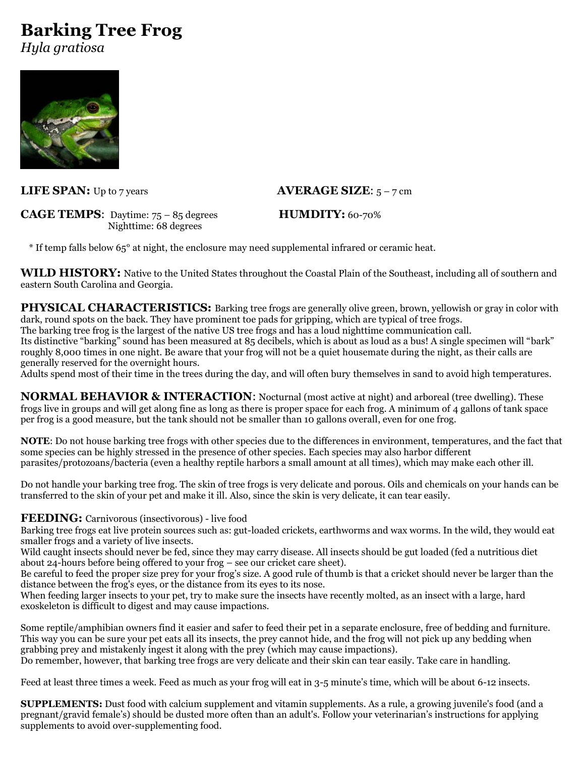# **Barking Tree Frog**

*Hyla gratiosa*



## **LIFE SPAN:** Up to 7 years **AVERAGE SIZE**:  $5 - 7$  cm

**CAGE TEMPS:** Daytime: 75 – 85 degrees **HUMDITY:** 60-70% Nighttime: 68 degrees

\* If temp falls below 65° at night, the enclosure may need supplemental infrared or ceramic heat.

**WILD HISTORY:** Native to the United States throughout the Coastal Plain of the Southeast, including all of southern and eastern South Carolina and Georgia.

**PHYSICAL CHARACTERISTICS:** Barking tree frogs are generally olive green, brown, yellowish or gray in color with dark, round spots on the back. They have prominent toe pads for gripping, which are typical of tree frogs. The barking tree frog is the largest of the native US tree frogs and has a loud nighttime communication call. Its distinctive "barking" sound has been measured at 85 decibels, which is about as loud as a bus! A single specimen will "bark"

roughly 8,000 times in one night. Be aware that your frog will not be a quiet housemate during the night, as their calls are generally reserved for the overnight hours.

Adults spend most of their time in the trees during the day, and will often bury themselves in sand to avoid high temperatures.

**NORMAL BEHAVIOR & INTERACTION:** Nocturnal (most active at night) and arboreal (tree dwelling). These frogs live in groups and will get along fine as long as there is proper space for each frog. A minimum of 4 gallons of tank space per frog is a good measure, but the tank should not be smaller than 10 gallons overall, even for one frog.

**NOTE**: Do not house barking tree frogs with other species due to the differences in environment, temperatures, and the fact that some species can be highly stressed in the presence of other species. Each species may also harbor different parasites/protozoans/bacteria (even a healthy reptile harbors a small amount at all times), which may make each other ill.

Do not handle your barking tree frog. The skin of tree frogs is very delicate and porous. Oils and chemicals on your hands can be transferred to the skin of your pet and make it ill. Also, since the skin is very delicate, it can tear easily.

**FEEDING:** Carnivorous (insectivorous) - live food

Barking tree frogs eat live protein sources such as: gut-loaded crickets, earthworms and wax worms. In the wild, they would eat smaller frogs and a variety of live insects.

Wild caught insects should never be fed, since they may carry disease. All insects should be gut loaded (fed a nutritious diet about 24-hours before being offered to your frog – see our cricket care sheet).

Be careful to feed the proper size prey for your frog's size. A good rule of thumb is that a cricket should never be larger than the distance between the frog's eyes, or the distance from its eyes to its nose.

When feeding larger insects to your pet, try to make sure the insects have recently molted, as an insect with a large, hard exoskeleton is difficult to digest and may cause impactions.

Some reptile/amphibian owners find it easier and safer to feed their pet in a separate enclosure, free of bedding and furniture. This way you can be sure your pet eats all its insects, the prey cannot hide, and the frog will not pick up any bedding when grabbing prey and mistakenly ingest it along with the prey (which may cause impactions).

Do remember, however, that barking tree frogs are very delicate and their skin can tear easily. Take care in handling.

Feed at least three times a week. Feed as much as your frog will eat in 3-5 minute's time, which will be about 6-12 insects.

**SUPPLEMENTS:** Dust food with calcium supplement and vitamin supplements. As a rule, a growing juvenile's food (and a pregnant/gravid female's) should be dusted more often than an adult's. Follow your veterinarian's instructions for applying supplements to avoid over-supplementing food.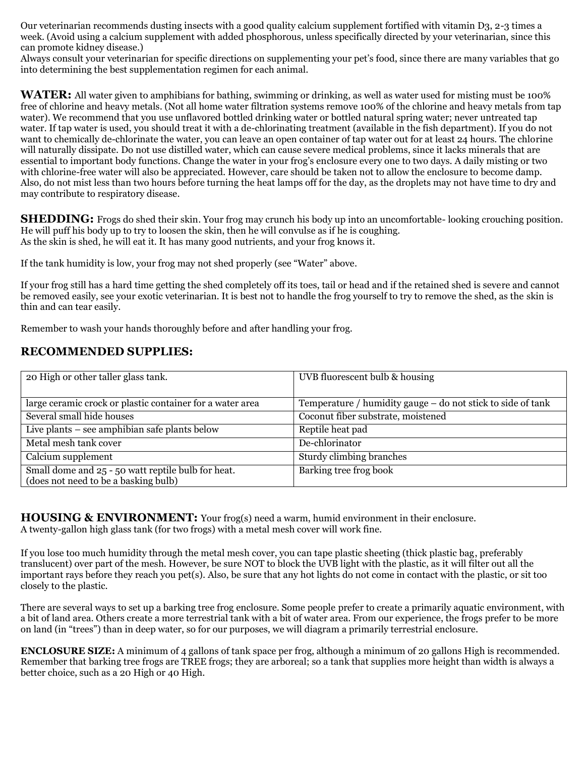Our veterinarian recommends dusting insects with a good quality calcium supplement fortified with vitamin D3, 2-3 times a week. (Avoid using a calcium supplement with added phosphorous, unless specifically directed by your veterinarian, since this can promote kidney disease.)

Always consult your veterinarian for specific directions on supplementing your pet's food, since there are many variables that go into determining the best supplementation regimen for each animal.

**WATER:** All water given to amphibians for bathing, swimming or drinking, as well as water used for misting must be 100% free of chlorine and heavy metals. (Not all home water filtration systems remove 100% of the chlorine and heavy metals from tap water). We recommend that you use unflavored bottled drinking water or bottled natural spring water; never untreated tap water. If tap water is used, you should treat it with a de-chlorinating treatment (available in the fish department). If you do not want to chemically de-chlorinate the water, you can leave an open container of tap water out for at least 24 hours. The chlorine will naturally dissipate. Do not use distilled water, which can cause severe medical problems, since it lacks minerals that are essential to important body functions. Change the water in your frog's enclosure every one to two days. A daily misting or two with chlorine-free water will also be appreciated. However, care should be taken not to allow the enclosure to become damp. Also, do not mist less than two hours before turning the heat lamps off for the day, as the droplets may not have time to dry and may contribute to respiratory disease.

**SHEDDING:** Frogs do shed their skin. Your frog may crunch his body up into an uncomfortable- looking crouching position. He will puff his body up to try to loosen the skin, then he will convulse as if he is coughing. As the skin is shed, he will eat it. It has many good nutrients, and your frog knows it.

If the tank humidity is low, your frog may not shed properly (see "Water" above.

If your frog still has a hard time getting the shed completely off its toes, tail or head and if the retained shed is severe and cannot be removed easily, see your exotic veterinarian. It is best not to handle the frog yourself to try to remove the shed, as the skin is thin and can tear easily.

Remember to wash your hands thoroughly before and after handling your frog.

### **RECOMMENDED SUPPLIES:**

| UVB fluorescent bulb & housing                              |
|-------------------------------------------------------------|
|                                                             |
| Temperature / humidity gauge – do not stick to side of tank |
| Coconut fiber substrate, moistened                          |
| Reptile heat pad                                            |
| De-chlorinator                                              |
| Sturdy climbing branches                                    |
| Barking tree frog book                                      |
|                                                             |

**HOUSING & ENVIRONMENT:** Your frog(s) need a warm, humid environment in their enclosure. A twenty-gallon high glass tank (for two frogs) with a metal mesh cover will work fine.

If you lose too much humidity through the metal mesh cover, you can tape plastic sheeting (thick plastic bag, preferably translucent) over part of the mesh. However, be sure NOT to block the UVB light with the plastic, as it will filter out all the important rays before they reach you pet(s). Also, be sure that any hot lights do not come in contact with the plastic, or sit too closely to the plastic.

There are several ways to set up a barking tree frog enclosure. Some people prefer to create a primarily aquatic environment, with a bit of land area. Others create a more terrestrial tank with a bit of water area. From our experience, the frogs prefer to be more on land (in "trees") than in deep water, so for our purposes, we will diagram a primarily terrestrial enclosure.

**ENCLOSURE SIZE:** A minimum of 4 gallons of tank space per frog, although a minimum of 20 gallons High is recommended. Remember that barking tree frogs are TREE frogs; they are arboreal; so a tank that supplies more height than width is always a better choice, such as a 20 High or 40 High.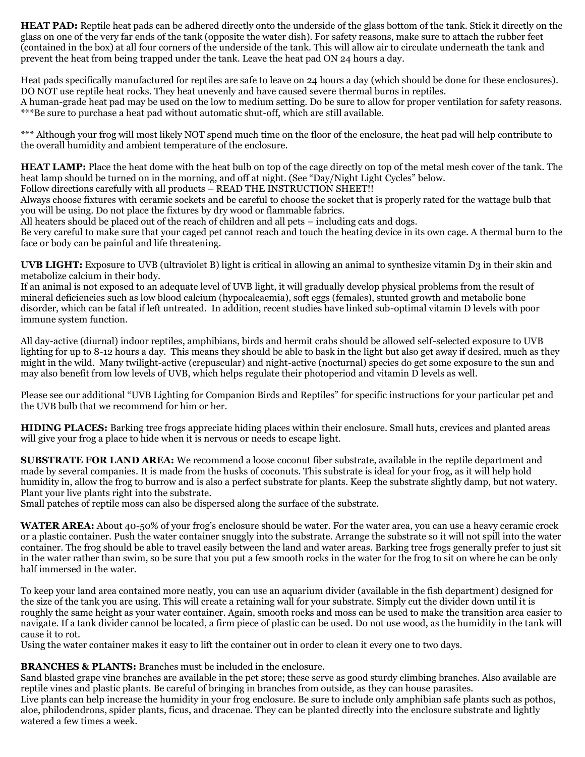**HEAT PAD:** Reptile heat pads can be adhered directly onto the underside of the glass bottom of the tank. Stick it directly on the glass on one of the very far ends of the tank (opposite the water dish). For safety reasons, make sure to attach the rubber feet (contained in the box) at all four corners of the underside of the tank. This will allow air to circulate underneath the tank and prevent the heat from being trapped under the tank. Leave the heat pad ON 24 hours a day.

Heat pads specifically manufactured for reptiles are safe to leave on 24 hours a day (which should be done for these enclosures). DO NOT use reptile heat rocks. They heat unevenly and have caused severe thermal burns in reptiles. A human-grade heat pad may be used on the low to medium setting. Do be sure to allow for proper ventilation for safety reasons. \*\*\*Be sure to purchase a heat pad without automatic shut-off, which are still available.

\*\*\* Although your frog will most likely NOT spend much time on the floor of the enclosure, the heat pad will help contribute to the overall humidity and ambient temperature of the enclosure.

**HEAT LAMP:** Place the heat dome with the heat bulb on top of the cage directly on top of the metal mesh cover of the tank. The heat lamp should be turned on in the morning, and off at night. (See "Day/Night Light Cycles" below.

Follow directions carefully with all products – READ THE INSTRUCTION SHEET!!

Always choose fixtures with ceramic sockets and be careful to choose the socket that is properly rated for the wattage bulb that you will be using. Do not place the fixtures by dry wood or flammable fabrics.

All heaters should be placed out of the reach of children and all pets – including cats and dogs.

Be very careful to make sure that your caged pet cannot reach and touch the heating device in its own cage. A thermal burn to the face or body can be painful and life threatening.

**UVB LIGHT:** Exposure to UVB (ultraviolet B) light is critical in allowing an animal to synthesize vitamin D3 in their skin and metabolize calcium in their body.

If an animal is not exposed to an adequate level of UVB light, it will gradually develop physical problems from the result of mineral deficiencies such as low blood calcium (hypocalcaemia), soft eggs (females), stunted growth and metabolic bone disorder, which can be fatal if left untreated. In addition, recent studies have linked sub-optimal vitamin D levels with poor immune system function.

All day-active (diurnal) indoor reptiles, amphibians, birds and hermit crabs should be allowed self-selected exposure to UVB lighting for up to 8-12 hours a day. This means they should be able to bask in the light but also get away if desired, much as they might in the wild. Many twilight-active (crepuscular) and night-active (nocturnal) species do get some exposure to the sun and may also benefit from low levels of UVB, which helps regulate their photoperiod and vitamin D levels as well.

Please see our additional "UVB Lighting for Companion Birds and Reptiles" for specific instructions for your particular pet and the UVB bulb that we recommend for him or her.

**HIDING PLACES:** Barking tree frogs appreciate hiding places within their enclosure. Small huts, crevices and planted areas will give your frog a place to hide when it is nervous or needs to escape light.

**SUBSTRATE FOR LAND AREA:** We recommend a loose coconut fiber substrate, available in the reptile department and made by several companies. It is made from the husks of coconuts. This substrate is ideal for your frog, as it will help hold humidity in, allow the frog to burrow and is also a perfect substrate for plants. Keep the substrate slightly damp, but not watery. Plant your live plants right into the substrate.

Small patches of reptile moss can also be dispersed along the surface of the substrate.

**WATER AREA:** About 40-50% of your frog's enclosure should be water. For the water area, you can use a heavy ceramic crock or a plastic container. Push the water container snuggly into the substrate. Arrange the substrate so it will not spill into the water container. The frog should be able to travel easily between the land and water areas. Barking tree frogs generally prefer to just sit in the water rather than swim, so be sure that you put a few smooth rocks in the water for the frog to sit on where he can be only half immersed in the water.

To keep your land area contained more neatly, you can use an aquarium divider (available in the fish department) designed for the size of the tank you are using. This will create a retaining wall for your substrate. Simply cut the divider down until it is roughly the same height as your water container. Again, smooth rocks and moss can be used to make the transition area easier to navigate. If a tank divider cannot be located, a firm piece of plastic can be used. Do not use wood, as the humidity in the tank will cause it to rot.

Using the water container makes it easy to lift the container out in order to clean it every one to two days.

#### **BRANCHES & PLANTS:** Branches must be included in the enclosure.

Sand blasted grape vine branches are available in the pet store; these serve as good sturdy climbing branches. Also available are reptile vines and plastic plants. Be careful of bringing in branches from outside, as they can house parasites.

Live plants can help increase the humidity in your frog enclosure. Be sure to include only amphibian safe plants such as pothos, aloe, philodendrons, spider plants, ficus, and dracenae. They can be planted directly into the enclosure substrate and lightly watered a few times a week.